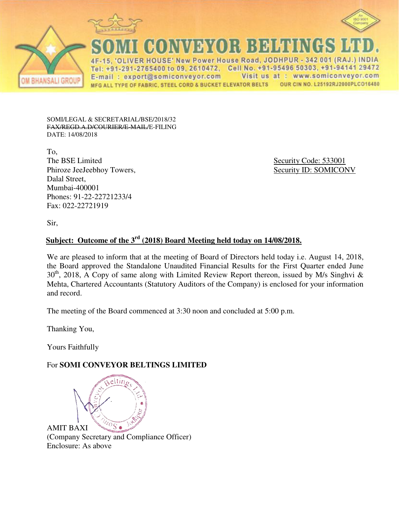



**CONVEYOR BELTINGS** 

VER HOUSE' New Power House Road, JODHPUR - 342 001 (RAJ.) INDIA Tel: +91-291-2765400 to 09, 2610472, Cell No. +91-95496 50303, +91-94141 29472 Visit us at : www.somiconveyor.com E-mail: export@somiconveyor.com OUR CIN NO. L25192RJ2000PLCO16480 MFG ALL TYPE OF FABRIC, STEEL CORD & BUCKET ELEVATOR BELTS

SOMI/LEGAL & SECRETARIAL/BSE/2018/32 FAX/REGD.A.D/COURIER/E-MAIL/E-FILING DATE: 14/08/2018

To, The BSE Limited Security Code: 533001 Phiroze JeeJeebhoy Towers, Security ID: SOMICONV Dalal Street, Mumbai-400001 Phones: 91-22-22721233/4 Fax: 022-22721919

Sir,

# **Subject: Outcome of the 3rd (2018) Board Meeting held today on 14/08/2018.**

We are pleased to inform that at the meeting of Board of Directors held today i.e. August 14, 2018, the Board approved the Standalone Unaudited Financial Results for the First Quarter ended June  $30<sup>th</sup>$ , 2018, A Copy of same along with Limited Review Report thereon, issued by M/s Singhvi & Mehta, Chartered Accountants (Statutory Auditors of the Company) is enclosed for your information and record.

The meeting of the Board commenced at 3:30 noon and concluded at 5:00 p.m.

Thanking You,

Yours Faithfully

### For **SOMI CONVEYOR BELTINGS LIMITED**

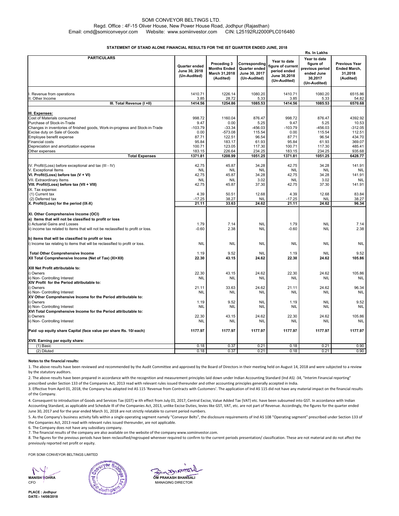#### SOMI CONVEYOR BELTINGS LTD. Regd. Office : 4F-15 Oliver House, New Power House Road, Jodhpur (Rajasthan) Email: cmd@somiconveyor.com Website: www.somiinvestor.com CIN: L25192RJ2000PLC016480

#### **STATEMENT OF STAND ALONE FINANCIAL RESULTS FOR THE IST QUARTER ENDED JUNE, 2018**

|                                                                                                             |                                                | Rs. In Lakhs                                                     |                                                                 |                                                                                  |                                                                                       |                                                              |  |
|-------------------------------------------------------------------------------------------------------------|------------------------------------------------|------------------------------------------------------------------|-----------------------------------------------------------------|----------------------------------------------------------------------------------|---------------------------------------------------------------------------------------|--------------------------------------------------------------|--|
| <b>PARTICULARS</b>                                                                                          | Quarter ended<br>June 30, 2018<br>(Un-Audited) | Preceding 3<br><b>Months Ended</b><br>March 31,2018<br>(Audited) | Corresponding<br>Quarter ended<br>June 30, 2017<br>(Un-Audited) | Year to date<br>igure of current<br>period ended<br>June 30,2018<br>(Un-Audited) | Year to date<br>figure of<br>previous period<br>ended June<br>30,2017<br>(Un-Audited) | <b>Previous Year</b><br>Ended March,<br>31,2018<br>(Audited) |  |
| Revenue from operations                                                                                     | 1410.71                                        | 1226.14                                                          | 1080.20                                                         | 1410.71                                                                          | 1080.20                                                                               | 6515.86                                                      |  |
| I. Other Income                                                                                             | 3.85                                           | 28.72                                                            | 5.33                                                            | 3.85                                                                             | 5.33                                                                                  | 54.82                                                        |  |
| III. Total Revenue (I +II)                                                                                  | 1414.56                                        | 1254.86                                                          | 1085.53                                                         | 1414.56                                                                          | 1085.53                                                                               | 6570.68                                                      |  |
|                                                                                                             |                                                |                                                                  |                                                                 |                                                                                  |                                                                                       |                                                              |  |
| III. Expenses:                                                                                              |                                                |                                                                  |                                                                 |                                                                                  |                                                                                       |                                                              |  |
| Cost of Materials consumed                                                                                  | 998.72                                         | 1160.04<br>0.00                                                  | 876.47<br>5.25                                                  | 998.72                                                                           | 876.47                                                                                | 4392.92                                                      |  |
| Purchase of Stock-in-Trade<br>Changes in inventories of finished goods, Work-in-progress and Stock-in-Trade | 9.47<br>$-103.79$                              | $-33.34$                                                         | $-456.03$                                                       | 9.47<br>$-103.79$                                                                | 5.25<br>$-456.03$                                                                     | 10.53<br>$-312.05$                                           |  |
| Excise duty on Sale of Goods                                                                                | 0.00                                           | $-573.08$                                                        | 115.54                                                          | 0.00                                                                             | 115.54                                                                                | 112.51                                                       |  |
| Employee benefit expense                                                                                    | 87.71                                          | 122.51                                                           | 96.54                                                           | 87.71                                                                            | 96.54                                                                                 | 434.70                                                       |  |
| Financial costs                                                                                             | 95.84                                          | 183.17                                                           | 61.93                                                           | 95.84                                                                            | 61.93                                                                                 | 369.07                                                       |  |
| Depreciation and amortization expense                                                                       | 100.71                                         | 123.05                                                           | 117.30                                                          | 100.71                                                                           | 117.30                                                                                | 485.41                                                       |  |
| Other expenses                                                                                              | 183.15                                         | 226.64                                                           | 234.25                                                          | 183.15                                                                           | 234.25                                                                                | 935.68                                                       |  |
| <b>Total Expenses</b>                                                                                       | 1371.81                                        | 1208.99                                                          | 1051.25                                                         | 1371.81                                                                          | 1051.25                                                                               | 6428.77                                                      |  |
|                                                                                                             |                                                |                                                                  |                                                                 |                                                                                  |                                                                                       |                                                              |  |
| IV. Profit/(Loss) before exceptional and tax (III - IV)                                                     | 42.75                                          | 45.87                                                            | 34.28                                                           | 42.75                                                                            | 34.28                                                                                 | 141.91                                                       |  |
| V. Exceptional Items                                                                                        | <b>NIL</b>                                     | <b>NIL</b>                                                       | <b>NIL</b>                                                      | <b>NIL</b>                                                                       | <b>NIL</b>                                                                            | <b>NIL</b>                                                   |  |
| VI. Profit/(Loss) before tax (V + VI)                                                                       | 42.75                                          | 45.87                                                            | 34.28                                                           | 42.75                                                                            | 34.28                                                                                 | 141.91                                                       |  |
| VII. Extraordinary Items                                                                                    | <b>NIL</b>                                     | <b>NIL</b>                                                       | 3.02                                                            | <b>NIL</b>                                                                       | 3.02                                                                                  | <b>NIL</b>                                                   |  |
| VIII. Profit/(Loss) before tax (VII + VIII)                                                                 | 42.75                                          | 45.87                                                            | 37.30                                                           | 42.75                                                                            | 37.30                                                                                 | 141.91                                                       |  |
| IX. Tax expense:                                                                                            |                                                |                                                                  |                                                                 |                                                                                  |                                                                                       |                                                              |  |
| (1) Current tax                                                                                             | 4.39                                           | 50.51                                                            | 12.68                                                           | 4.39                                                                             | 12.68                                                                                 | 83.84                                                        |  |
| (2) Deferred tax                                                                                            | $-17.25$                                       | 38.27                                                            | <b>NIL</b>                                                      | $-17.25$                                                                         | <b>NIL</b>                                                                            | 38.27                                                        |  |
| X. Profit/(Loss) for the period (IX-X)                                                                      | 21.11                                          | 33.63                                                            | 24.62                                                           | 21.11                                                                            | 24.62                                                                                 | 96.34                                                        |  |
| XI. Other Comprehensive Income (OCI)<br>a) Items that will not be classified to profit or loss              |                                                |                                                                  |                                                                 |                                                                                  |                                                                                       |                                                              |  |
| i) Actuarial Gains and Losses                                                                               | 1.79                                           | 7.14                                                             | <b>NIL</b>                                                      | 1.79                                                                             | <b>NIL</b>                                                                            | 7.14                                                         |  |
| ii) income tax related to items that will not be reclassified to profit or loss.                            | $-0.60$                                        | 2.38                                                             | <b>NIL</b>                                                      | $-0.60$                                                                          | <b>NIL</b>                                                                            | 2.38                                                         |  |
|                                                                                                             |                                                |                                                                  |                                                                 |                                                                                  |                                                                                       |                                                              |  |
| b) items that will be classified to profit or loss                                                          |                                                |                                                                  |                                                                 |                                                                                  |                                                                                       |                                                              |  |
| i) Income tax relating to items that will be reclassified to profit or loss.                                | <b>NIL</b>                                     | <b>NIL</b>                                                       | <b>NIL</b>                                                      | <b>NIL</b>                                                                       | <b>NIL</b>                                                                            | <b>NIL</b>                                                   |  |
| <b>Total Other Comprehensive Income</b>                                                                     | 1.19                                           | 9.52                                                             | <b>NIL</b>                                                      | 1.19                                                                             | <b>NIL</b>                                                                            | 9.52                                                         |  |
| XII Total Comprehensive Income (Net of Tax) (XI+XII)                                                        | 22.30                                          | 43.15                                                            | 24.62                                                           | 22.30                                                                            | 24.62                                                                                 | 105.86                                                       |  |
|                                                                                                             |                                                |                                                                  |                                                                 |                                                                                  |                                                                                       |                                                              |  |
| XIII Net Profit attributable to:                                                                            |                                                |                                                                  |                                                                 |                                                                                  |                                                                                       |                                                              |  |
| i) Owners                                                                                                   | 22.30                                          | 43.15                                                            | 24.62                                                           | 22.30                                                                            | 24.62                                                                                 | 105.86                                                       |  |
| ii) Non- Controlling Interest                                                                               | <b>NIL</b>                                     | <b>NIL</b>                                                       | <b>NIL</b>                                                      | <b>NIL</b>                                                                       | <b>NIL</b>                                                                            | <b>NIL</b>                                                   |  |
| XIV Profit for the Period attributable to:                                                                  |                                                |                                                                  |                                                                 |                                                                                  |                                                                                       |                                                              |  |
| i) Owners                                                                                                   | 21.11                                          | 33.63                                                            | 24.62                                                           | 21.11                                                                            | 24.62                                                                                 | 96.34                                                        |  |
| ii) Non- Controlling Interest                                                                               | <b>NIL</b>                                     | <b>NIL</b>                                                       | <b>NIL</b>                                                      | <b>NIL</b>                                                                       | <b>NIL</b>                                                                            | <b>NIL</b>                                                   |  |
| XV Other Comprehensive Income for the Period attributable to:                                               |                                                |                                                                  |                                                                 |                                                                                  |                                                                                       |                                                              |  |
| i) Owners                                                                                                   | 1.19                                           | 9.52                                                             | <b>NIL</b>                                                      | 1.19                                                                             | <b>NIL</b>                                                                            | 9.52                                                         |  |
| ii) Non- Controlling Interest                                                                               | <b>NIL</b>                                     | <b>NIL</b>                                                       | <b>NIL</b>                                                      | <b>NIL</b>                                                                       | <b>NIL</b>                                                                            | <b>NIL</b>                                                   |  |
| XVI Total Comprehensive Income for the Period attributable to:                                              |                                                |                                                                  |                                                                 |                                                                                  |                                                                                       |                                                              |  |
| i) Owners                                                                                                   | 22.30                                          | 43.15                                                            | 24.62                                                           | 22.30                                                                            | 24.62                                                                                 | 105.86                                                       |  |
| ii) Non- Controlling Interest                                                                               | <b>NIL</b>                                     | <b>NIL</b>                                                       | <b>NIL</b>                                                      | <b>NIL</b>                                                                       | <b>NIL</b>                                                                            | <b>NIL</b>                                                   |  |
| Paid -up equity share Capital (face value per share Rs. 10/-each)                                           | 1177.97                                        | 1177.97                                                          | 1177.97                                                         | 1177.97                                                                          | 1177.97                                                                               | 1177.97                                                      |  |
| XVII. Earning per equity share:                                                                             |                                                |                                                                  |                                                                 |                                                                                  |                                                                                       |                                                              |  |
| (1) Basic                                                                                                   | 0.18                                           | 0.37                                                             | 0.21                                                            | 0.18                                                                             | 0.21                                                                                  | 0.90                                                         |  |
| (2) Diluted                                                                                                 | 0.18                                           | 0.37                                                             | 0.21                                                            | 0.18                                                                             | 0.21                                                                                  | 0.90                                                         |  |

#### **Notes to the financial results:**

1. The above results have been reviewed and recommended by the Audit Committee and approved by the Board of Directors in their meeting held on August 14, 2018 and were subjected to a review by the statutory auditors.

2. The above results have been prepared in accordance with the recognition and measurement principles laid down under Indian Accounting Standard {Ind AS) -34, "Interim Financial reporting" prescribed under Section 133 of the Companies Act, 2013 read with relevant rules issued thereunder and other accounting principles generally accepted in India.

3. Effective from April 01, 2018, the Company has adopted Ind AS 115 'Revenue from Contracts with Customers'. The application of Ind AS 115 did not have any material impact on the financial results of the Company.

4. Consequent to introduction of Goods and Services Tax (GST) w ith effect from July 01, 2017, Central Excise, Value Added Tax {VAT) etc. have been subsumed into GST. In accordance with Indian Accounting Standard, as applicable and Schedule Ill of the Companies Act, 2013, unlike Excise Duties, levies like GST, VAT, etc. are not part of Revenue. Accordingly, the figures for the quarter ended June 30, 2017 and for the year ended March 31, 2018 are not strictly relatable to current period numbers.

5. As the Company's business activity falls within a single operating segment namely "Conveyor Belts", the disclosure requirements of Ind AS 108 "Operating segment" prescribed under Section 133 of the Companies Act, 2013 read with relevant rules issued thereunder, are not applicable.

6. The Company does not have any subsidiary company.

7. The financial results of the company are also available on the website of the company www.somiinvestor.com.

8. The figures for the previous periods have been reclassified/regrouped wherever required to confirm to the current periods presentation/ classification. These are not material and do not affect the previously reported net profit or equity.

FOR SOMI CONVEYOR BELTINGS LIMITED

**PLACE : Jodhpur DATE:- 14/08/2018**

 $\sqrt{2}$  MANAGING DIRECTOR **MANISH BOHRA SALI CHANGALI** 

≩in ੈਾ<sup>¤</sup>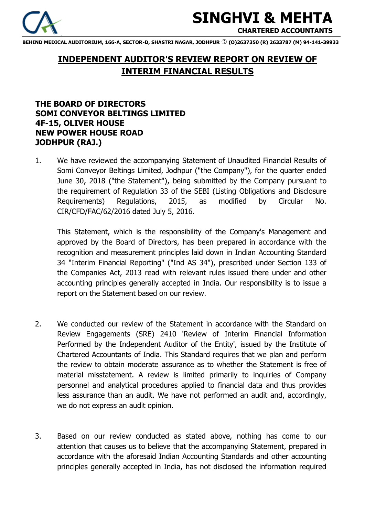

# **SINGHVI & MEHTA**

 **CHARTERED ACCOUNTANTS** 

**BEHIND MEDICAL AUDITORIUM, 166-A, SECTOR-D, SHASTRI NAGAR, JODHPUR (O)2637350 (R) 2633787 (M) 94-141-39933** 

# **INDEPENDENT AUDITOR'S REVIEW REPORT ON REVIEW OF INTERIM FINANCIAL RESULTS**

# **THE BOARD OF DIRECTORS SOMI CONVEYOR BELTINGS LIMITED 4F-15, OLIVER HOUSE NEW POWER HOUSE ROAD JODHPUR (RAJ.)**

1. We have reviewed the accompanying Statement of Unaudited Financial Results of Somi Conveyor Beltings Limited, Jodhpur ("the Company"), for the quarter ended June 30, 2018 ("the Statement"), being submitted by the Company pursuant to the requirement of Regulation 33 of the SEBI (Listing Obligations and Disclosure Requirements) Regulations, 2015, as modified by Circular No. CIR/CFD/FAC/62/2016 dated July 5, 2016.

This Statement, which is the responsibility of the Company's Management and approved by the Board of Directors, has been prepared in accordance with the recognition and measurement principles laid down in Indian Accounting Standard 34 "Interim Financial Reporting" ("Ind AS 34"), prescribed under Section 133 of the Companies Act, 2013 read with relevant rules issued there under and other accounting principles generally accepted in India. Our responsibility is to issue a report on the Statement based on our review.

- 2. We conducted our review of the Statement in accordance with the Standard on Review Engagements (SRE) 2410 'Review of Interim Financial Information Performed by the Independent Auditor of the Entity', issued by the Institute of Chartered Accountants of India. This Standard requires that we plan and perform the review to obtain moderate assurance as to whether the Statement is free of material misstatement. A review is limited primarily to inquiries of Company personnel and analytical procedures applied to financial data and thus provides less assurance than an audit. We have not performed an audit and, accordingly, we do not express an audit opinion.
- 3. Based on our review conducted as stated above, nothing has come to our attention that causes us to believe that the accompanying Statement, prepared in accordance with the aforesaid Indian Accounting Standards and other accounting principles generally accepted in India, has not disclosed the information required